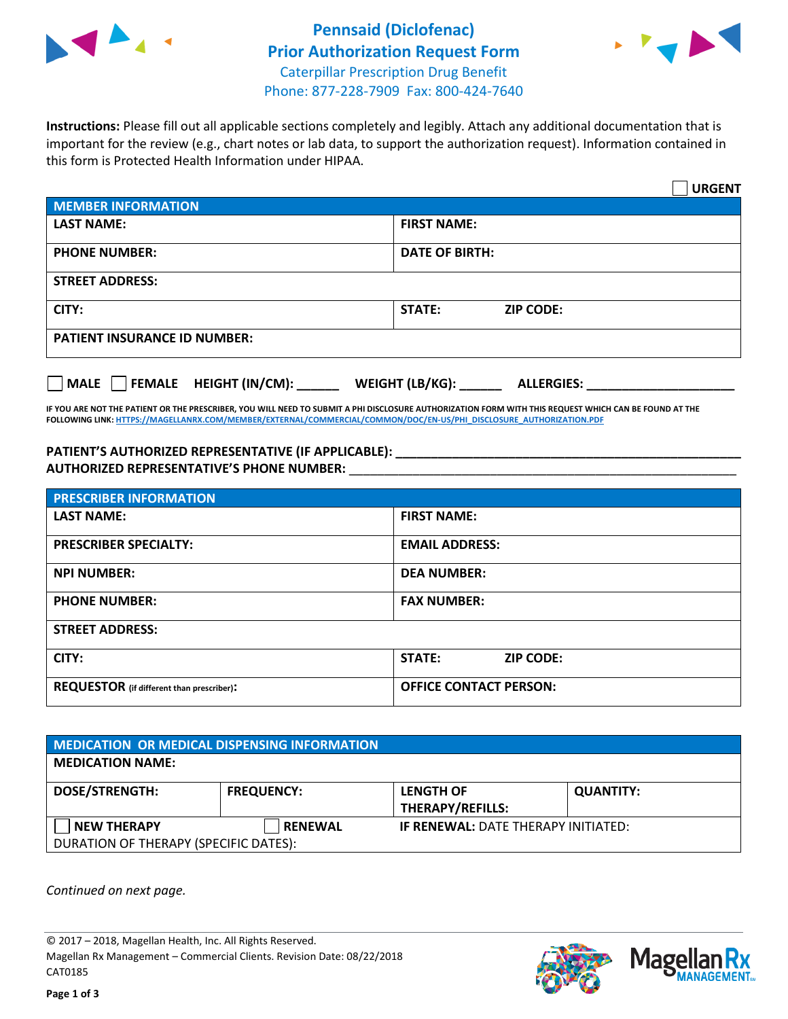



**Instructions:** Please fill out all applicable sections completely and legibly. Attach any additional documentation that is important for the review (e.g., chart notes or lab data, to support the authorization request). Information contained in this form is Protected Health Information under HIPAA.

|                                                | <b>URGENT</b>                        |  |  |  |
|------------------------------------------------|--------------------------------------|--|--|--|
| <b>MEMBER INFORMATION</b>                      |                                      |  |  |  |
| <b>LAST NAME:</b>                              | <b>FIRST NAME:</b>                   |  |  |  |
| <b>PHONE NUMBER:</b>                           | <b>DATE OF BIRTH:</b>                |  |  |  |
| <b>STREET ADDRESS:</b>                         |                                      |  |  |  |
| CITY:                                          | <b>STATE:</b><br><b>ZIP CODE:</b>    |  |  |  |
| <b>PATIENT INSURANCE ID NUMBER:</b>            |                                      |  |  |  |
| $\Box$ FEMALE HEIGHT (IN/CM): _<br><b>MALE</b> | WEIGHT (LB/KG):<br><b>ALLERGIES:</b> |  |  |  |

**IF YOU ARE NOT THE PATIENT OR THE PRESCRIBER, YOU WILL NEED TO SUBMIT A PHI DISCLOSURE AUTHORIZATION FORM WITH THIS REQUEST WHICH CAN BE FOUND AT THE FOLLOWING LINK[: HTTPS://MAGELLANRX.COM/MEMBER/EXTERNAL/COMMERCIAL/COMMON/DOC/EN-US/PHI\\_DISCLOSURE\\_AUTHORIZATION.PDF](https://magellanrx.com/member/external/commercial/common/doc/en-us/PHI_Disclosure_Authorization.pdf)**

**PATIENT'S AUTHORIZED REPRESENTATIVE (IF APPLICABLE): \_\_\_\_\_\_\_\_\_\_\_\_\_\_\_\_\_\_\_\_\_\_\_\_\_\_\_\_\_\_\_\_\_\_\_\_\_\_\_\_\_\_\_\_\_\_\_\_\_ AUTHORIZED REPRESENTATIVE'S PHONE NUMBER:** \_\_\_\_\_\_\_\_\_\_\_\_\_\_\_\_\_\_\_\_\_\_\_\_\_\_\_\_\_\_\_\_\_\_\_\_\_\_\_\_\_\_\_\_\_\_\_\_\_\_\_\_\_\_\_

| <b>PRESCRIBER INFORMATION</b>             |                               |  |  |  |
|-------------------------------------------|-------------------------------|--|--|--|
| <b>LAST NAME:</b>                         | <b>FIRST NAME:</b>            |  |  |  |
| <b>PRESCRIBER SPECIALTY:</b>              | <b>EMAIL ADDRESS:</b>         |  |  |  |
| <b>NPI NUMBER:</b>                        | <b>DEA NUMBER:</b>            |  |  |  |
| <b>PHONE NUMBER:</b>                      | <b>FAX NUMBER:</b>            |  |  |  |
| <b>STREET ADDRESS:</b>                    |                               |  |  |  |
| CITY:                                     | STATE:<br><b>ZIP CODE:</b>    |  |  |  |
| REQUESTOR (if different than prescriber): | <b>OFFICE CONTACT PERSON:</b> |  |  |  |

| <b>MEDICATION OR MEDICAL DISPENSING INFORMATION</b> |                   |                                            |                  |  |  |
|-----------------------------------------------------|-------------------|--------------------------------------------|------------------|--|--|
| <b>MEDICATION NAME:</b>                             |                   |                                            |                  |  |  |
| <b>DOSE/STRENGTH:</b>                               | <b>FREQUENCY:</b> | <b>LENGTH OF</b>                           | <b>QUANTITY:</b> |  |  |
|                                                     |                   | <b>THERAPY/REFILLS:</b>                    |                  |  |  |
| <b>NEW THERAPY</b>                                  | <b>RENEWAL</b>    | <b>IF RENEWAL: DATE THERAPY INITIATED:</b> |                  |  |  |
| DURATION OF THERAPY (SPECIFIC DATES):               |                   |                                            |                  |  |  |

*Continued on next page.*

© 2017 – 2018, Magellan Health, Inc. All Rights Reserved. Magellan Rx Management – Commercial Clients. Revision Date: 08/22/2018 CAT0185



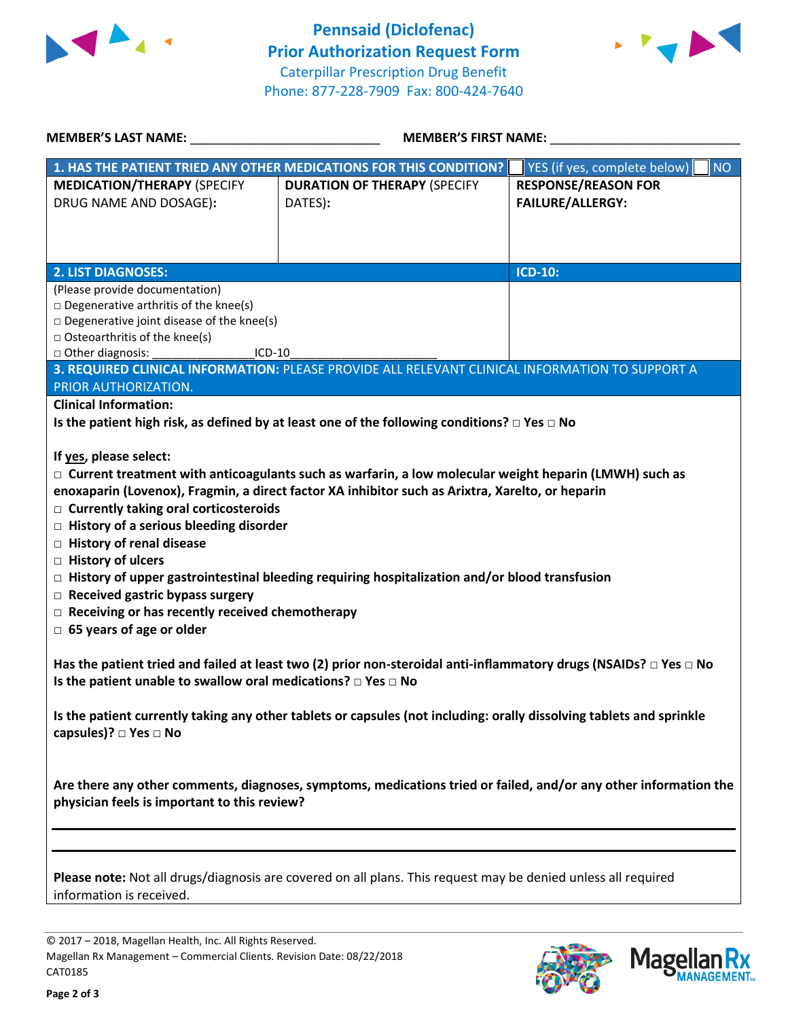



| <b>MEMBER'S LAST NAME:</b>                                                                                                                                                                                                                                                                                                                                                                                                                                                                                                                                                                                                                                                                                                                                                                                                                                                                                                                                                                                 | <b>MEMBER'S FIRST NAME:</b>                                                                            |                                                       |  |  |
|------------------------------------------------------------------------------------------------------------------------------------------------------------------------------------------------------------------------------------------------------------------------------------------------------------------------------------------------------------------------------------------------------------------------------------------------------------------------------------------------------------------------------------------------------------------------------------------------------------------------------------------------------------------------------------------------------------------------------------------------------------------------------------------------------------------------------------------------------------------------------------------------------------------------------------------------------------------------------------------------------------|--------------------------------------------------------------------------------------------------------|-------------------------------------------------------|--|--|
|                                                                                                                                                                                                                                                                                                                                                                                                                                                                                                                                                                                                                                                                                                                                                                                                                                                                                                                                                                                                            | 1. HAS THE PATIENT TRIED ANY OTHER MEDICATIONS FOR THIS CONDITION?                                     | YES (if yes, complete below)<br><b>NO</b>             |  |  |
| <b>MEDICATION/THERAPY (SPECIFY</b><br>DRUG NAME AND DOSAGE):                                                                                                                                                                                                                                                                                                                                                                                                                                                                                                                                                                                                                                                                                                                                                                                                                                                                                                                                               | <b>DURATION OF THERAPY (SPECIFY</b><br>DATES):                                                         | <b>RESPONSE/REASON FOR</b><br><b>FAILURE/ALLERGY:</b> |  |  |
| <b>2. LIST DIAGNOSES:</b>                                                                                                                                                                                                                                                                                                                                                                                                                                                                                                                                                                                                                                                                                                                                                                                                                                                                                                                                                                                  |                                                                                                        | <b>ICD-10:</b>                                        |  |  |
| (Please provide documentation)<br>$\Box$ Degenerative arthritis of the knee(s)<br>$\square$ Degenerative joint disease of the knee(s)<br>$\Box$ Osteoarthritis of the knee(s)<br>□ Other diagnosis:<br>$ICD-10$<br>3. REQUIRED CLINICAL INFORMATION: PLEASE PROVIDE ALL RELEVANT CLINICAL INFORMATION TO SUPPORT A<br>PRIOR AUTHORIZATION.                                                                                                                                                                                                                                                                                                                                                                                                                                                                                                                                                                                                                                                                 |                                                                                                        |                                                       |  |  |
| <b>Clinical Information:</b>                                                                                                                                                                                                                                                                                                                                                                                                                                                                                                                                                                                                                                                                                                                                                                                                                                                                                                                                                                               |                                                                                                        |                                                       |  |  |
|                                                                                                                                                                                                                                                                                                                                                                                                                                                                                                                                                                                                                                                                                                                                                                                                                                                                                                                                                                                                            | Is the patient high risk, as defined by at least one of the following conditions? $\Box$ Yes $\Box$ No |                                                       |  |  |
| If yes, please select:<br>$\Box$ Current treatment with anticoagulants such as warfarin, a low molecular weight heparin (LMWH) such as<br>enoxaparin (Lovenox), Fragmin, a direct factor XA inhibitor such as Arixtra, Xarelto, or heparin<br>$\Box$ Currently taking oral corticosteroids<br>$\Box$ History of a serious bleeding disorder<br>□ History of renal disease<br>□ History of ulcers<br>$\Box$ History of upper gastrointestinal bleeding requiring hospitalization and/or blood transfusion<br>$\Box$ Received gastric bypass surgery<br>$\Box$ Receiving or has recently received chemotherapy<br>$\Box$ 65 years of age or older<br>Has the patient tried and failed at least two (2) prior non-steroidal anti-inflammatory drugs (NSAIDs? $\Box$ Yes $\Box$ No<br>Is the patient unable to swallow oral medications? $\Box$ Yes $\Box$ No<br>Is the patient currently taking any other tablets or capsules (not including: orally dissolving tablets and sprinkle<br>capsules)? □ Yes □ No |                                                                                                        |                                                       |  |  |
| Are there any other comments, diagnoses, symptoms, medications tried or failed, and/or any other information the<br>physician feels is important to this review?                                                                                                                                                                                                                                                                                                                                                                                                                                                                                                                                                                                                                                                                                                                                                                                                                                           |                                                                                                        |                                                       |  |  |
| Please note: Not all drugs/diagnosis are covered on all plans. This request may be denied unless all required<br>information is received.                                                                                                                                                                                                                                                                                                                                                                                                                                                                                                                                                                                                                                                                                                                                                                                                                                                                  |                                                                                                        |                                                       |  |  |

© 2017 – 2018, Magellan Health, Inc. All Rights Reserved. Magellan Rx Management – Commercial Clients. Revision Date: 08/22/2018 CAT0185